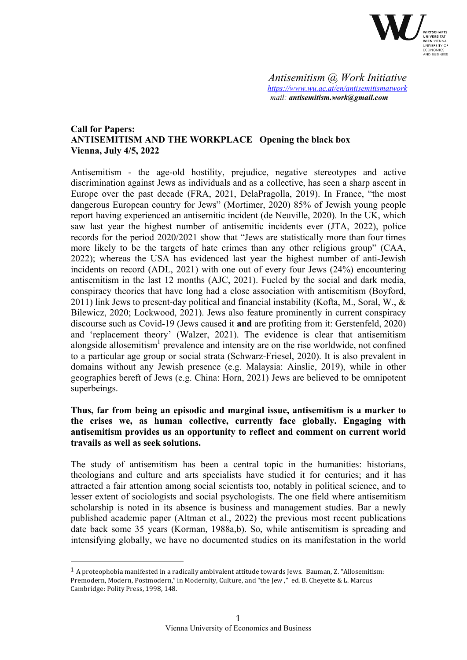

*Antisemitism @ Work Initiative https://www.wu.ac.at/en/antisemitismatwork mail: antisemitism.work@gmail.com*

# **Call for Papers: ANTISEMITISM AND THE WORKPLACE Opening the black box Vienna, July 4/5, 2022**

Antisemitism - the age-old hostility, prejudice, negative stereotypes and active discrimination against Jews as individuals and as a collective, has seen a sharp ascent in Europe over the past decade (FRA, 2021, DelaPragolla, 2019). In France, "the most dangerous European country for Jews" (Mortimer, 2020) 85% of Jewish young people report having experienced an antisemitic incident (de Neuville, 2020). In the UK, which saw last year the highest number of antisemitic incidents ever (JTA, 2022), police records for the period 2020/2021 show that "Jews are statistically more than four times more likely to be the targets of hate crimes than any other religious group" (CAA, 2022); whereas the USA has evidenced last year the highest number of anti-Jewish incidents on record (ADL, 2021) with one out of every four Jews (24%) encountering antisemitism in the last 12 months (AJC, 2021). Fueled by the social and dark media, conspiracy theories that have long had a close association with antisemitism (Boyford, 2011) link Jews to present-day political and financial instability (Kofta, M., Soral, W.,  $\&$ Bilewicz, 2020; Lockwood, 2021). Jews also feature prominently in current conspiracy discourse such as Covid-19 (Jews caused it **and** are profiting from it: Gerstenfeld, 2020) and 'replacement theory' (Walzer, 2021). The evidence is clear that antisemitism alongside allosemitism<sup>1</sup> prevalence and intensity are on the rise worldwide, not confined to a particular age group or social strata (Schwarz-Friesel, 2020). It is also prevalent in domains without any Jewish presence (e.g. Malaysia: Ainslie, 2019), while in other geographies bereft of Jews (e.g. China: Horn, 2021) Jews are believed to be omnipotent superbeings.

# **Thus, far from being an episodic and marginal issue, antisemitism is a marker to the crises we, as human collective, currently face globally. Engaging with antisemitism provides us an opportunity to reflect and comment on current world travails as well as seek solutions.**

The study of antisemitism has been a central topic in the humanities: historians, theologians and culture and arts specialists have studied it for centuries; and it has attracted a fair attention among social scientists too, notably in political science, and to lesser extent of sociologists and social psychologists. The one field where antisemitism scholarship is noted in its absence is business and management studies. Bar a newly published academic paper (Altman et al., 2022) the previous most recent publications date back some 35 years (Korman, 1988a,b). So, while antisemitism is spreading and intensifying globally, we have no documented studies on its manifestation in the world

 

 $1$  A proteophobia manifested in a radically ambivalent attitude towards Jews. Bauman, Z. "Allosemitism: Premodern, Modern, Postmodern," in Modernity, Culture, and "the Jew," ed. B. Chevette & L. Marcus Cambridge: Polity Press, 1998, 148.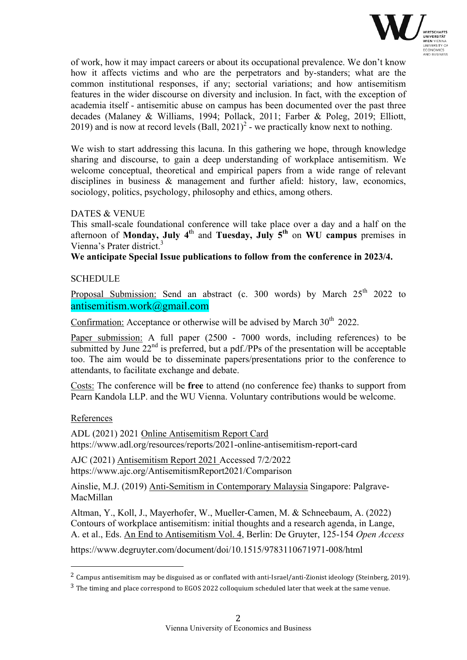

of work, how it may impact careers or about its occupational prevalence. We don't know how it affects victims and who are the perpetrators and by-standers; what are the common institutional responses, if any; sectorial variations; and how antisemitism features in the wider discourse on diversity and inclusion. In fact, with the exception of academia itself - antisemitic abuse on campus has been documented over the past three decades (Malaney & Williams, 1994; Pollack, 2011; Farber & Poleg, 2019; Elliott, 2019) and is now at record levels  $(Ball, 2021)^2$  - we practically know next to nothing.

We wish to start addressing this lacuna. In this gathering we hope, through knowledge sharing and discourse, to gain a deep understanding of workplace antisemitism. We welcome conceptual, theoretical and empirical papers from a wide range of relevant disciplines in business & management and further afield: history, law, economics, sociology, politics, psychology, philosophy and ethics, among others.

# DATES & VENUE

This small-scale foundational conference will take place over a day and a half on the afternoon of **Monday, July 4<sup>t</sup>**<sup>h</sup> and **Tuesday, July 5th** on **WU campus** premises in Vienna's Prater district.<sup>3</sup>

**We anticipate Special Issue publications to follow from the conference in 2023/4.**

# **SCHEDULE**

Proposal Submission: Send an abstract (c. 300 words) by March  $25<sup>th</sup>$  2022 to antisemitism.work@gmail.com

Confirmation: Acceptance or otherwise will be advised by March  $30<sup>th</sup>$  2022.

Paper submission: A full paper (2500 - 7000 words, including references) to be submitted by June  $22<sup>nd</sup>$  is preferred, but a pdf./PPs of the presentation will be acceptable too. The aim would be to disseminate papers/presentations prior to the conference to attendants, to facilitate exchange and debate.

Costs: The conference will be **free** to attend (no conference fee) thanks to support from Pearn Kandola LLP. and the WU Vienna. Voluntary contributions would be welcome.

# References

 

ADL (2021) 2021 Online Antisemitism Report Card https://www.adl.org/resources/reports/2021-online-antisemitism-report-card

AJC (2021) Antisemitism Report 2021 Accessed 7/2/2022 https://www.ajc.org/AntisemitismReport2021/Comparison

Ainslie, M.J. (2019) Anti-Semitism in Contemporary Malaysia Singapore: Palgrave-MacMillan

Altman, Y., Koll, J., Mayerhofer, W., Mueller-Camen, M. & Schneebaum, A. (2022) Contours of workplace antisemitism: initial thoughts and a research agenda, in Lange, A. et al., Eds. An End to Antisemitism Vol. 4, Berlin: De Gruyter, 125-154 *Open Access*

https://www.degruyter.com/document/doi/10.1515/9783110671971-008/html

<sup>&</sup>lt;sup>2</sup> Campus antisemitism may be disguised as or conflated with anti-Israel/anti-Zionist ideology (Steinberg, 2019).

 $3$  The timing and place correspond to EGOS 2022 colloquium scheduled later that week at the same venue.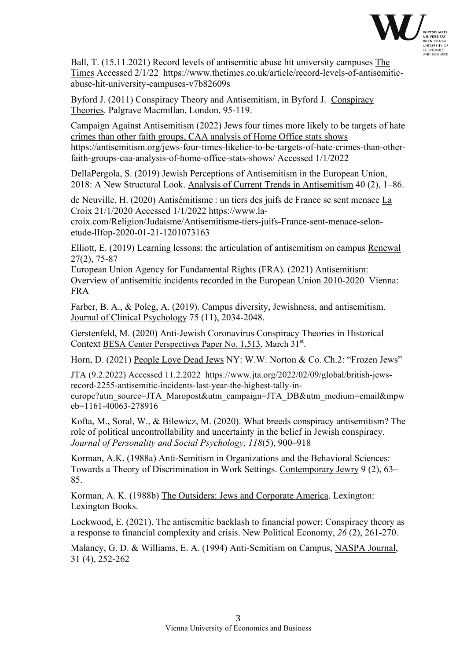

Ball, T. (15.11.2021) Record levels of antisemitic abuse hit university campuses The Times Accessed 2/1/22 https://www.thetimes.co.uk/article/record-levels-of-antisemiticabuse-hit-university-campuses-v7b82609s

Byford J. (2011) Conspiracy Theory and Antisemitism, in Byford J. Conspiracy Theories. Palgrave Macmillan, London, 95-119.

Campaign Against Antisemitism (2022) Jews four times more likely to be targets of hate crimes than other faith groups, CAA analysis of Home Office stats shows https://antisemitism.org/jews-four-times-likelier-to-be-targets-of-hate-crimes-than-otherfaith-groups-caa-analysis-of-home-office-stats-shows/ Accessed 1/1/2022

DellaPergola, S. (2019) Jewish Perceptions of Antisemitism in the European Union, 2018: A New Structural Look. Analysis of Current Trends in Antisemitism 40 (2), 1–86.

de Neuville, H. (2020) Antisémitisme : un tiers des juifs de France se sent menace La Croix 21/1/2020 Accessed 1/1/2022 https://www.la-

croix.com/Religion/Judaisme/Antisemitisme-tiers-juifs-France-sent-menace-selonetude-lIfop-2020-01-21-1201073163

Elliott, E. (2019) Learning lessons: the articulation of antisemitism on campus Renewal 27(2), 75-87

European Union Agency for Fundamental Rights (FRA). (2021) Antisemitism: Overview of antisemitic incidents recorded in the European Union 2010-2020 Vienna: FRA

Farber, B. A., & Poleg, A. (2019). Campus diversity, Jewishness, and antisemitism. Journal of Clinical Psychology 75 (11), 2034-2048.

Gerstenfeld, M. (2020) Anti-Jewish Coronavirus Conspiracy Theories in Historical Context BESA Center Perspectives Paper No. 1,513, March 31st.

Horn, D. (2021) People Love Dead Jews NY: W.W. Norton & Co. Ch.2: "Frozen Jews"

JTA (9.2.2022) Accessed 11.2.2022 https://www.jta.org/2022/02/09/global/british-jewsrecord-2255-antisemitic-incidents-last-year-the-highest-tally-ineurope?utm\_source=JTA\_Maropost&utm\_campaign=JTA\_DB&utm\_medium=email&mpw eb=1161-40063-278916

Kofta, M., Soral, W., & Bilewicz, M. (2020). What breeds conspiracy antisemitism? The role of political uncontrollability and uncertainty in the belief in Jewish conspiracy. *Journal of Personality and Social Psychology, 118*(5), 900–918

Korman, A.K. (1988a) Anti-Semitism in Organizations and the Behavioral Sciences: Towards a Theory of Discrimination in Work Settings. Contemporary Jewry 9 (2), 63– 85.

Korman, A. K. (1988b) The Outsiders: Jews and Corporate America. Lexington: Lexington Books.

Lockwood, E. (2021). The antisemitic backlash to financial power: Conspiracy theory as a response to financial complexity and crisis. New Political Economy, *26* (2), 261-270.

Malaney, G. D. & Williams, E. A. (1994) Anti-Semitism on Campus, NASPA Journal, 31 (4), 252-262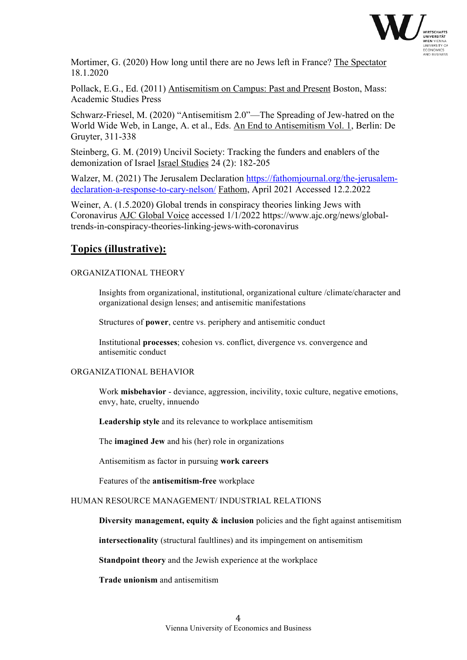

Mortimer, G. (2020) How long until there are no Jews left in France? The Spectator 18.1.2020

Pollack, E.G., Ed. (2011) Antisemitism on Campus: Past and Present Boston, Mass: Academic Studies Press

Schwarz-Friesel, M. (2020) "Antisemitism 2.0"—The Spreading of Jew-hatred on the World Wide Web, in Lange, A. et al., Eds. An End to Antisemitism Vol. 1, Berlin: De Gruyter, 311-338

Steinberg, G. M. (2019) Uncivil Society: Tracking the funders and enablers of the demonization of Israel Israel Studies 24 (2): 182-205

Walzer, M. (2021) The Jerusalem Declaration https://fathomjournal.org/the-jerusalemdeclaration-a-response-to-cary-nelson/ Fathom, April 2021 Accessed 12.2.2022

Weiner, A. (1.5.2020) Global trends in conspiracy theories linking Jews with Coronavirus AJC Global Voice accessed 1/1/2022 https://www.ajc.org/news/globaltrends-in-conspiracy-theories-linking-jews-with-coronavirus

# **Topics (illustrative):**

# ORGANIZATIONAL THEORY

Insights from organizational, institutional, organizational culture /climate/character and organizational design lenses; and antisemitic manifestations

Structures of **power**, centre vs. periphery and antisemitic conduct

Institutional **processes**; cohesion vs. conflict, divergence vs. convergence and antisemitic conduct

## ORGANIZATIONAL BEHAVIOR

Work **misbehavior** - deviance, aggression, incivility, toxic culture, negative emotions, envy, hate, cruelty, innuendo

**Leadership style** and its relevance to workplace antisemitism

The **imagined Jew** and his (her) role in organizations

Antisemitism as factor in pursuing **work careers**

Features of the **antisemitism-free** workplace

## HUMAN RESOURCE MANAGEMENT/ INDUSTRIAL RELATIONS

**Diversity management, equity & inclusion** policies and the fight against antisemitism

**intersectionality** (structural faultlines) and its impingement on antisemitism

**Standpoint theory** and the Jewish experience at the workplace

**Trade unionism** and antisemitism